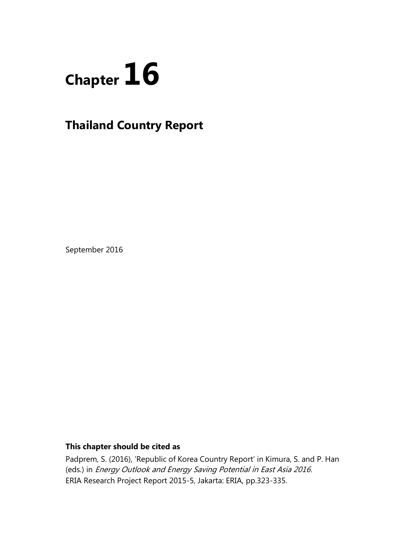

# **Thailand Country Report**

September 2016

# **This chapter should be cited as**

Padprem, S. (2016), 'Republic of Korea Country Report' in Kimura, S. and P. Han (eds.) in Energy Outlook and Energy Saving Potential in East Asia 2016. ERIA Research Project Report 2015-5, Jakarta: ERIA, pp.323-335.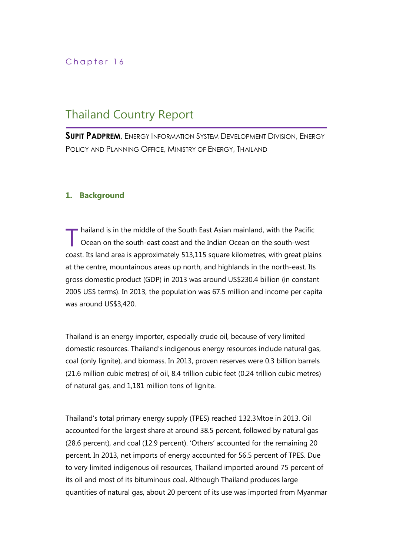# Chapter 16

# Thailand Country Report

**SUPIT PADPREM**, ENERGY INFORMATION SYSTEM DEVELOPMENT DIVISION, ENERGY POLICY AND PLANNING OFFICE, MINISTRY OF ENERGY, THAILAND

# **1. Background**

hailand is in the middle of the South East Asian mainland, with the Pacific Ocean on the south-east coast and the Indian Ocean on the south-west coast. Its land area is approximately 513,115 square kilometres, with great plains at the centre, mountainous areas up north, and highlands in the north-east. Its gross domestic product (GDP) in 2013 was around US\$230.4 billion (in constant 2005 US\$ terms). In 2013, the population was 67.5 million and income per capita was around US\$3,420. T

Thailand is an energy importer, especially crude oil, because of very limited domestic resources. Thailand's indigenous energy resources include natural gas, coal (only lignite), and biomass. In 2013, proven reserves were 0.3 billion barrels (21.6 million cubic metres) of oil, 8.4 trillion cubic feet (0.24 trillion cubic metres) of natural gas, and 1,181 million tons of lignite.

Thailand's total primary energy supply (TPES) reached 132.3Mtoe in 2013. Oil accounted for the largest share at around 38.5 percent, followed by natural gas (28.6 percent), and coal (12.9 percent). 'Others' accounted for the remaining 20 percent. In 2013, net imports of energy accounted for 56.5 percent of TPES. Due to very limited indigenous oil resources, Thailand imported around 75 percent of its oil and most of its bituminous coal. Although Thailand produces large quantities of natural gas, about 20 percent of its use was imported from Myanmar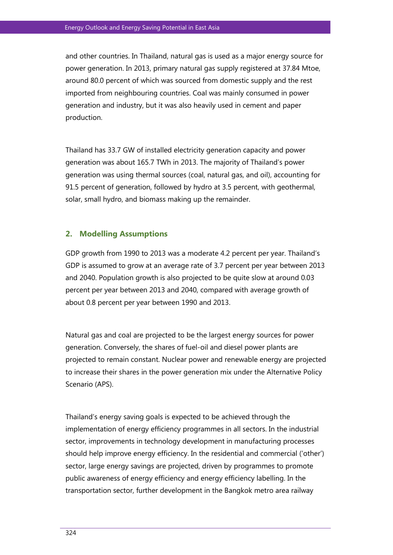and other countries. In Thailand, natural gas is used as a major energy source for power generation. In 2013, primary natural gas supply registered at 37.84 Mtoe, around 80.0 percent of which was sourced from domestic supply and the rest imported from neighbouring countries. Coal was mainly consumed in power generation and industry, but it was also heavily used in cement and paper production.

Thailand has 33.7 GW of installed electricity generation capacity and power generation was about 165.7 TWh in 2013. The majority of Thailand's power generation was using thermal sources (coal, natural gas, and oil), accounting for 91.5 percent of generation, followed by hydro at 3.5 percent, with geothermal, solar, small hydro, and biomass making up the remainder.

# **2. Modelling Assumptions**

GDP growth from 1990 to 2013 was a moderate 4.2 percent per year. Thailand's GDP is assumed to grow at an average rate of 3.7 percent per year between 2013 and 2040. Population growth is also projected to be quite slow at around 0.03 percent per year between 2013 and 2040, compared with average growth of about 0.8 percent per year between 1990 and 2013.

Natural gas and coal are projected to be the largest energy sources for power generation. Conversely, the shares of fuel-oil and diesel power plants are projected to remain constant. Nuclear power and renewable energy are projected to increase their shares in the power generation mix under the Alternative Policy Scenario (APS).

Thailand's energy saving goals is expected to be achieved through the implementation of energy efficiency programmes in all sectors. In the industrial sector, improvements in technology development in manufacturing processes should help improve energy efficiency. In the residential and commercial ('other') sector, large energy savings are projected, driven by programmes to promote public awareness of energy efficiency and energy efficiency labelling. In the transportation sector, further development in the Bangkok metro area railway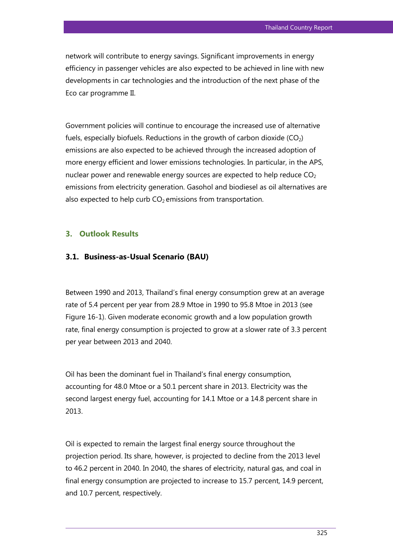network will contribute to energy savings. Significant improvements in energy efficiency in passenger vehicles are also expected to be achieved in line with new developments in car technologies and the introduction of the next phase of the Eco car programme II.

Government policies will continue to encourage the increased use of alternative fuels, especially biofuels. Reductions in the growth of carbon dioxide  $(CO_2)$ emissions are also expected to be achieved through the increased adoption of more energy efficient and lower emissions technologies. In particular, in the APS, nuclear power and renewable energy sources are expected to help reduce  $CO<sub>2</sub>$ emissions from electricity generation. Gasohol and biodiesel as oil alternatives are also expected to help curb  $CO<sub>2</sub>$  emissions from transportation.

# **3. Outlook Results**

#### **3.1. Business-as-Usual Scenario (BAU)**

Between 1990 and 2013, Thailand's final energy consumption grew at an average rate of 5.4 percent per year from 28.9 Mtoe in 1990 to 95.8 Mtoe in 2013 (see Figure 16-1). Given moderate economic growth and a low population growth rate, final energy consumption is projected to grow at a slower rate of 3.3 percent per year between 2013 and 2040.

Oil has been the dominant fuel in Thailand's final energy consumption, accounting for 48.0 Mtoe or a 50.1 percent share in 2013. Electricity was the second largest energy fuel, accounting for 14.1 Mtoe or a 14.8 percent share in 2013.

Oil is expected to remain the largest final energy source throughout the projection period. Its share, however, is projected to decline from the 2013 level to 46.2 percent in 2040. In 2040, the shares of electricity, natural gas, and coal in final energy consumption are projected to increase to 15.7 percent, 14.9 percent, and 10.7 percent, respectively.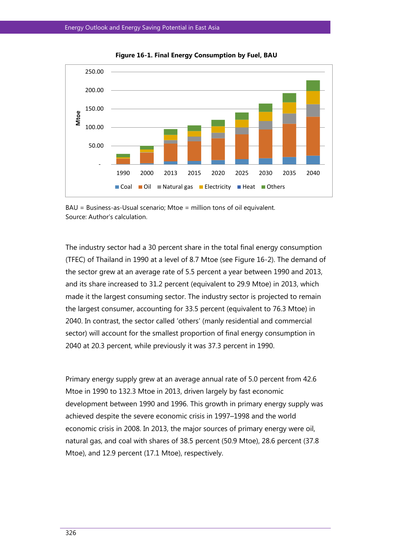

**Figure 16-1. Final Energy Consumption by Fuel, BAU**



The industry sector had a 30 percent share in the total final energy consumption (TFEC) of Thailand in 1990 at a level of 8.7 Mtoe (see Figure 16-2). The demand of the sector grew at an average rate of 5.5 percent a year between 1990 and 2013, and its share increased to 31.2 percent (equivalent to 29.9 Mtoe) in 2013, which made it the largest consuming sector. The industry sector is projected to remain the largest consumer, accounting for 33.5 percent (equivalent to 76.3 Mtoe) in 2040. In contrast, the sector called 'others' (manly residential and commercial sector) will account for the smallest proportion of final energy consumption in 2040 at 20.3 percent, while previously it was 37.3 percent in 1990.

Primary energy supply grew at an average annual rate of 5.0 percent from 42.6 Mtoe in 1990 to 132.3 Mtoe in 2013, driven largely by fast economic development between 1990 and 1996. This growth in primary energy supply was achieved despite the severe economic crisis in 1997–1998 and the world economic crisis in 2008. In 2013, the major sources of primary energy were oil, natural gas, and coal with shares of 38.5 percent (50.9 Mtoe), 28.6 percent (37.8 Mtoe), and 12.9 percent (17.1 Mtoe), respectively.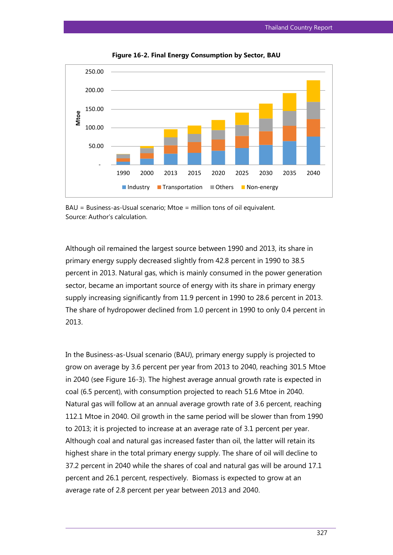

**Figure 16-2. Final Energy Consumption by Sector, BAU**



Although oil remained the largest source between 1990 and 2013, its share in primary energy supply decreased slightly from 42.8 percent in 1990 to 38.5 percent in 2013. Natural gas, which is mainly consumed in the power generation sector, became an important source of energy with its share in primary energy supply increasing significantly from 11.9 percent in 1990 to 28.6 percent in 2013. The share of hydropower declined from 1.0 percent in 1990 to only 0.4 percent in 2013.

In the Business-as-Usual scenario (BAU), primary energy supply is projected to grow on average by 3.6 percent per year from 2013 to 2040, reaching 301.5 Mtoe in 2040 (see Figure 16-3). The highest average annual growth rate is expected in coal (6.5 percent), with consumption projected to reach 51.6 Mtoe in 2040. Natural gas will follow at an annual average growth rate of 3.6 percent, reaching 112.1 Mtoe in 2040. Oil growth in the same period will be slower than from 1990 to 2013; it is projected to increase at an average rate of 3.1 percent per year. Although coal and natural gas increased faster than oil, the latter will retain its highest share in the total primary energy supply. The share of oil will decline to 37.2 percent in 2040 while the shares of coal and natural gas will be around 17.1 percent and 26.1 percent, respectively. Biomass is expected to grow at an average rate of 2.8 percent per year between 2013 and 2040.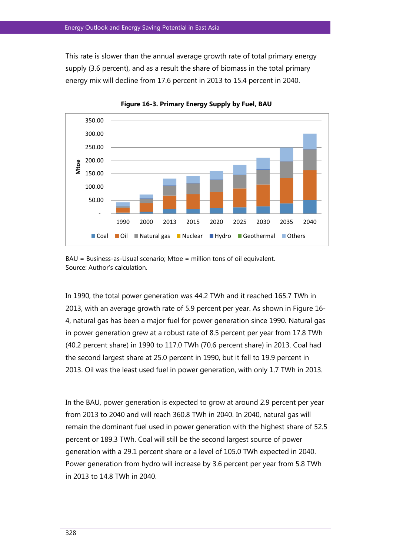This rate is slower than the annual average growth rate of total primary energy supply (3.6 percent), and as a result the share of biomass in the total primary energy mix will decline from 17.6 percent in 2013 to 15.4 percent in 2040.



**Figure 16-3. Primary Energy Supply by Fuel, BAU**

 $BAU = Business-Usual scenario: Mtoe = million tons of oil equivalent.$ Source: Author's calculation.

In 1990, the total power generation was 44.2 TWh and it reached 165.7 TWh in 2013, with an average growth rate of 5.9 percent per year. As shown in Figure 16- 4, natural gas has been a major fuel for power generation since 1990. Natural gas in power generation grew at a robust rate of 8.5 percent per year from 17.8 TWh (40.2 percent share) in 1990 to 117.0 TWh (70.6 percent share) in 2013. Coal had the second largest share at 25.0 percent in 1990, but it fell to 19.9 percent in 2013. Oil was the least used fuel in power generation, with only 1.7 TWh in 2013.

In the BAU, power generation is expected to grow at around 2.9 percent per year from 2013 to 2040 and will reach 360.8 TWh in 2040. In 2040, natural gas will remain the dominant fuel used in power generation with the highest share of 52.5 percent or 189.3 TWh. Coal will still be the second largest source of power generation with a 29.1 percent share or a level of 105.0 TWh expected in 2040. Power generation from hydro will increase by 3.6 percent per year from 5.8 TWh in 2013 to 14.8 TWh in 2040.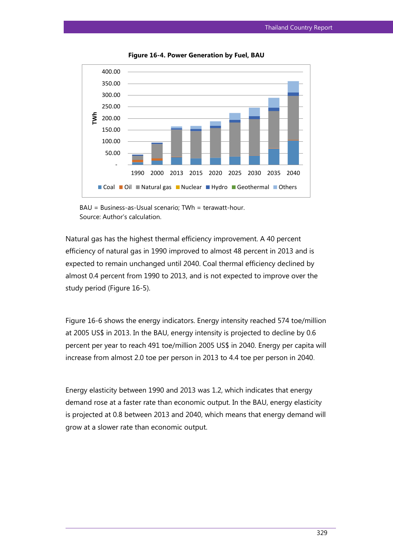

**Figure 16-4. Power Generation by Fuel, BAU**

Natural gas has the highest thermal efficiency improvement. A 40 percent efficiency of natural gas in 1990 improved to almost 48 percent in 2013 and is expected to remain unchanged until 2040. Coal thermal efficiency declined by almost 0.4 percent from 1990 to 2013, and is not expected to improve over the study period (Figure 16-5).

Figure 16-6 shows the energy indicators. Energy intensity reached 574 toe/million at 2005 US\$ in 2013. In the BAU, energy intensity is projected to decline by 0.6 percent per year to reach 491 toe/million 2005 US\$ in 2040. Energy per capita will increase from almost 2.0 toe per person in 2013 to 4.4 toe per person in 2040.

Energy elasticity between 1990 and 2013 was 1.2, which indicates that energy demand rose at a faster rate than economic output. In the BAU, energy elasticity is projected at 0.8 between 2013 and 2040, which means that energy demand will grow at a slower rate than economic output.

BAU = Business-as-Usual scenario; TWh = terawatt-hour. Source: Author's calculation.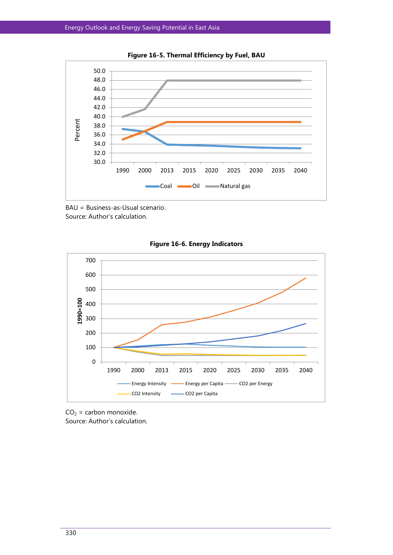

**Figure 16-5. Thermal Efficiency by Fuel, BAU**







 $CO<sub>2</sub> =$  carbon monoxide. Source: Author's calculation.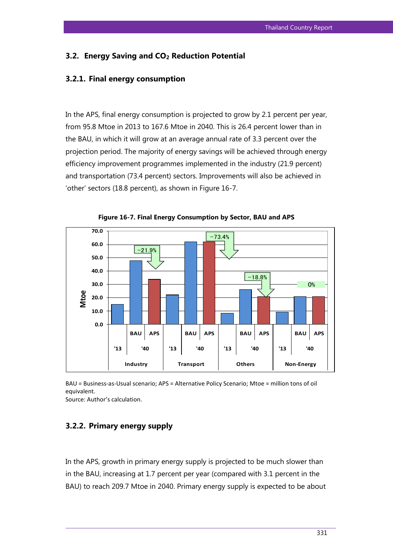# **3.2. Energy Saving and CO<sup>2</sup> Reduction Potential**

### **3.2.1. Final energy consumption**

In the APS, final energy consumption is projected to grow by 2.1 percent per year, from 95.8 Mtoe in 2013 to 167.6 Mtoe in 2040. This is 26.4 percent lower than in the BAU, in which it will grow at an average annual rate of 3.3 percent over the projection period. The majority of energy savings will be achieved through energy efficiency improvement programmes implemented in the industry (21.9 percent) and transportation (73.4 percent) sectors. Improvements will also be achieved in 'other' sectors (18.8 percent), as shown in Figure 16-7.



**Figure 16-7. Final Energy Consumption by Sector, BAU and APS**

BAU = Business-as-Usual scenario; APS = Alternative Policy Scenario; Mtoe = million tons of oil equivalent.

Source: Author's calculation.

# **3.2.2. Primary energy supply**

In the APS, growth in primary energy supply is projected to be much slower than in the BAU, increasing at 1.7 percent per year (compared with 3.1 percent in the BAU) to reach 209.7 Mtoe in 2040. Primary energy supply is expected to be about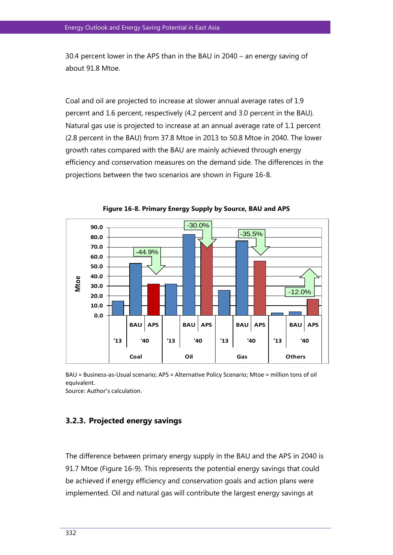30.4 percent lower in the APS than in the BAU in 2040 – an energy saving of about 91.8 Mtoe.

Coal and oil are projected to increase at slower annual average rates of 1.9 percent and 1.6 percent, respectively (4.2 percent and 3.0 percent in the BAU). Natural gas use is projected to increase at an annual average rate of 1.1 percent (2.8 percent in the BAU) from 37.8 Mtoe in 2013 to 50.8 Mtoe in 2040. The lower growth rates compared with the BAU are mainly achieved through energy efficiency and conservation measures on the demand side. The differences in the projections between the two scenarios are shown in Figure 16-8.



**Figure 16-8. Primary Energy Supply by Source, BAU and APS**

BAU = Business-as-Usual scenario; APS = Alternative Policy Scenario; Mtoe = million tons of oil equivalent.

Source: Author's calculation.

### **3.2.3. Projected energy savings**

The difference between primary energy supply in the BAU and the APS in 2040 is 91.7 Mtoe (Figure 16-9). This represents the potential energy savings that could be achieved if energy efficiency and conservation goals and action plans were implemented. Oil and natural gas will contribute the largest energy savings at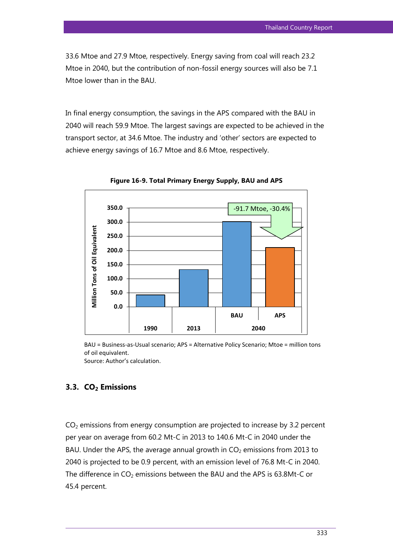33.6 Mtoe and 27.9 Mtoe, respectively. Energy saving from coal will reach 23.2 Mtoe in 2040, but the contribution of non-fossil energy sources will also be 7.1 Mtoe lower than in the BAU.

In final energy consumption, the savings in the APS compared with the BAU in 2040 will reach 59.9 Mtoe. The largest savings are expected to be achieved in the transport sector, at 34.6 Mtoe. The industry and 'other' sectors are expected to achieve energy savings of 16.7 Mtoe and 8.6 Mtoe, respectively.



**Figure 16-9. Total Primary Energy Supply, BAU and APS**

BAU = Business-as-Usual scenario; APS = Alternative Policy Scenario; Mtoe = million tons of oil equivalent. Source: Author's calculation.

## **3.3. CO2 Emissions**

 $CO<sub>2</sub>$  emissions from energy consumption are projected to increase by 3.2 percent per year on average from 60.2 Mt-C in 2013 to 140.6 Mt-C in 2040 under the BAU. Under the APS, the average annual growth in  $CO<sub>2</sub>$  emissions from 2013 to 2040 is projected to be 0.9 percent, with an emission level of 76.8 Mt-C in 2040. The difference in  $CO<sub>2</sub>$  emissions between the BAU and the APS is 63.8Mt-C or 45.4 percent.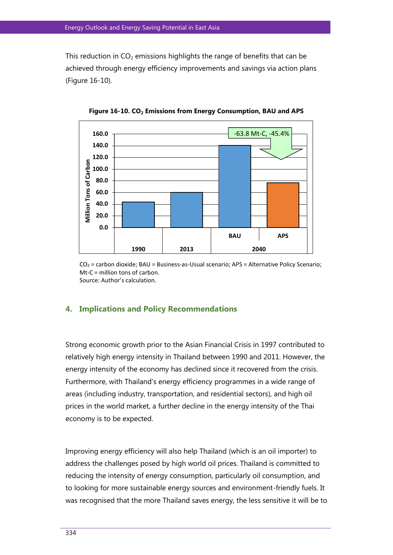This reduction in  $CO<sub>2</sub>$  emissions highlights the range of benefits that can be achieved through energy efficiency improvements and savings via action plans (Figure 16-10).



**Figure 16-10. CO<sup>2</sup> Emissions from Energy Consumption, BAU and APS**

CO2 = carbon dioxide; BAU = Business-as-Usual scenario; APS = Alternative Policy Scenario; Mt-C = million tons of carbon. Source: Author's calculation.

# **4. Implications and Policy Recommendations**

Strong economic growth prior to the Asian Financial Crisis in 1997 contributed to relatively high energy intensity in Thailand between 1990 and 2011. However, the energy intensity of the economy has declined since it recovered from the crisis. Furthermore, with Thailand's energy efficiency programmes in a wide range of areas (including industry, transportation, and residential sectors), and high oil prices in the world market, a further decline in the energy intensity of the Thai economy is to be expected.

Improving energy efficiency will also help Thailand (which is an oil importer) to address the challenges posed by high world oil prices. Thailand is committed to reducing the intensity of energy consumption, particularly oil consumption, and to looking for more sustainable energy sources and environment-friendly fuels. It was recognised that the more Thailand saves energy, the less sensitive it will be to